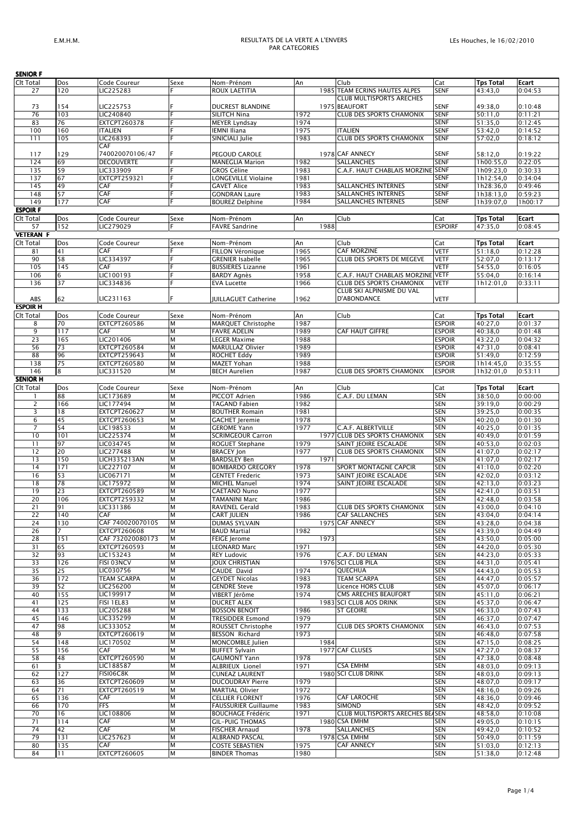| <b>SENIOR F</b>  |                |                     |      |                             |      |                                      |                |                  |         |
|------------------|----------------|---------------------|------|-----------------------------|------|--------------------------------------|----------------|------------------|---------|
| Clt Total        | Dos            | Code Coureur        | Sexe | Nom-Prénom                  | An   | Club                                 | Cat            | <b>Tps Total</b> | Ecart   |
| 27               | 120            | LIC225283           |      | ROUX LAETITIA               |      | <b>1985 TEAM ECRINS HAUTES ALPES</b> | SENF           | 43:43,0          | 0:04:53 |
|                  |                |                     |      |                             |      | <b>CLUB MULTISPORTS ARECHES</b>      |                |                  |         |
|                  | 154            |                     |      | <b>DUCREST BLANDINE</b>     |      | 1975 BEAUFORT                        | <b>SENF</b>    | 49:38,0          | 0:10:48 |
| 73               |                | LIC225753           |      |                             |      |                                      |                |                  |         |
| 76               | 103            | LIC240840           |      | SILITCH Nina                | 1972 | CLUB DES SPORTS CHAMONIX             | <b>SENF</b>    | 50:11.0          | 0:11:21 |
| 83               | 76             | EXTCPT260378        |      | <b>MEYER Lyndsay</b>        | 1974 |                                      | <b>SENF</b>    | 51:35,0          | 0:12:45 |
| 100              | 160            | <b>ITALIEN</b>      |      | <b>IEMNI Iliana</b>         | 1975 | <b>ITALIEN</b>                       | <b>SENF</b>    | 53:42,0          | 0:14:52 |
| 111              | 105            | LIC268393           |      | SINICIALI Julie             | 1983 | <b>CLUB DES SPORTS CHAMONIX</b>      | <b>SENF</b>    | 57:02,0          | 0:18:12 |
|                  |                | CAF                 |      |                             |      |                                      |                |                  |         |
|                  |                |                     |      |                             |      |                                      |                |                  |         |
| 117              | 129            | 740020070106/47     |      | PEGOUD CAROLE               |      | 1978 CAF ANNECY                      | <b>SENF</b>    | 58:12,0          | 0:19:22 |
| 124              | 69             | <b>DECOUVERTE</b>   |      | <b>MANEGLIA Marion</b>      | 1982 | SALLANCHES                           | <b>SENF</b>    | 1h00:55,0        | 0:22:05 |
| 135              | 59             | LIC333909           |      | <b>GROS Céline</b>          | 1983 | C.A.F. HAUT CHABLAIS MORZINE SENF    |                | 1h09:23,0        | 0:30:33 |
| 137              | 67             | EXTCPT259321        |      | LONGEVILLE Violaine         | 1981 |                                      | <b>SENF</b>    | 1h12:54,0        | 0:34:04 |
| 145              | 49             | CAF                 |      | <b>GAVET Alice</b>          | 1983 | SALLANCHES INTERNES                  | <b>SENF</b>    | 1h28:36,0        | 0:49:46 |
|                  |                |                     | E    |                             |      |                                      |                |                  |         |
| 148              | 57             | CAF                 |      | <b>GONDRAN Laure</b>        | 1983 | SALLANCHES INTERNES                  | <b>SENF</b>    | 1h38:13,0        | 0:59:23 |
| 149              | 177            | CAF                 |      | <b>BOUREZ Delphine</b>      | 1984 | SALLANCHES INTERNES                  | <b>SENF</b>    | 1h39:07,0        | 1h00:17 |
| <b>ESPOIR F</b>  |                |                     |      |                             |      |                                      |                |                  |         |
| <b>Clt Total</b> | Dos            | Code Coureur        | Sexe | Nom-Prénom                  | An   | Club                                 | Cat            | <b>Tps Total</b> | Ecart   |
|                  | 152            |                     |      |                             | 1988 |                                      | <b>ESPOIRF</b> |                  | 0:08:45 |
| 57               |                | LIC279029           |      | <b>FAVRE Sandrine</b>       |      |                                      |                | 47:35,0          |         |
| <b>VETERAN F</b> |                |                     |      |                             |      |                                      |                |                  |         |
| <b>Clt Total</b> | Dos            | Code Coureur        | Sexe | Nom-Prénom                  | An   | Club                                 | Cat            | <b>Tps Total</b> | Ecart   |
| 81               | 41             | CAF                 |      | <b>FILLON Véronique</b>     | 1965 | <b>CAF MORZINE</b>                   | <b>VETF</b>    | 51:18,0          | 0:12:28 |
| 90               | 58             | LIC334397           |      |                             | 1965 | CLUB DES SPORTS DE MEGEVE            | <b>VETF</b>    |                  | 0:13:17 |
|                  |                |                     |      | <b>GRENIER Isabelle</b>     |      |                                      |                | 52:07,0          |         |
| 105              | 145            | CAF                 |      | <b>BUSSIERES Lizanne</b>    | 1961 |                                      | <b>VETF</b>    | 54:55,0          | 0:16:05 |
| 106              | 6              | LIC100193           |      | <b>BARDY Agnès</b>          | 1958 | C.A.F. HAUT CHABLAIS MORZINE         | <b>VETF</b>    | 55:04,0          | 0:16:14 |
| 136              | 37             | LIC334836           |      | <b>EVA Lucette</b>          | 1966 | <b>CLUB DES SPORTS CHAMONIX</b>      | VETF           | 1h12:01,0        | 0:33:11 |
|                  |                |                     |      |                             |      | CLUB SKI ALPINISME DU VAL            |                |                  |         |
|                  |                |                     |      |                             |      |                                      |                |                  |         |
| ABS              | 62             | LIC231163           |      | <b>JUILLAGUET Catherine</b> | 1962 | D'ABONDANCE                          | Vetf           |                  |         |
| <b>ESPOIR H</b>  |                |                     |      |                             |      |                                      |                |                  |         |
| Clt Total        | Dos            | Code Coureur        | Sexe | Nom-Prénom                  | An   | Club                                 | Cat            | <b>Tps Total</b> | Ecart   |
|                  | 70             | EXTCPT260586        | M    | MARQUET Christophe          | 1987 |                                      | <b>ESPOIR</b>  | 40:27,0          | 0:01:37 |
| 8                |                |                     |      |                             |      |                                      |                |                  |         |
| 9                | 117            | CAF                 | M    | <b>FAVRE ADELIN</b>         | 1989 | CAF HAUT GIFFRE                      | <b>ESPOIR</b>  | 40:38,0          | 0:01:48 |
| 23               | 165            | LIC201406           | M    | <b>LEGER Maxime</b>         | 1988 |                                      | <b>ESPOIR</b>  | 43:22,0          | 0:04:32 |
| 56               | 73             | EXTCPT260584        | M    | <b>MARULLAZ Olivier</b>     | 1989 |                                      | <b>ESPOIR</b>  | 47:31,0          | 0:08:41 |
| 88               | 96             | EXTCPT259643        | M    | <b>ROCHET Eddy</b>          | 1989 |                                      | <b>ESPOIR</b>  | 51:49,0          | 0:12:59 |
|                  |                |                     |      |                             |      |                                      |                |                  |         |
| 138              | 75             | EXTCPT260580        | M    | MAZET Yohan                 | 1988 |                                      | <b>ESPOIR</b>  | 1h14:45,0        | 0:35:55 |
| 146              | 8              | LIC331520           | M    | <b>BECH Aurelien</b>        | 1987 | <b>CLUB DES SPORTS CHAMONIX</b>      | <b>ESPOIR</b>  | 1h32:01,0        | 0:53:11 |
| <b>SENIOR H</b>  |                |                     |      |                             |      |                                      |                |                  |         |
| Clt Total        | Dos            | Code Coureur        | Sexe | Nom-Prénom                  | An   | Club                                 | Cat            | <b>Tps Total</b> | Ecart   |
|                  |                |                     |      |                             |      |                                      |                |                  |         |
| 1                | 88             | LIC173689           | M    | PICCOT Adrien               | 1986 | C.A.F. DU LEMAN                      | <b>SEN</b>     | 38:50,0          | 0:00:00 |
| 2                | 166            | LIC177494           | M    | TAGAND Fabien               | 1982 |                                      | <b>SEN</b>     | 39:19,0          | 0:00:29 |
| 3                | 18             | <b>EXTCPT260627</b> | M    | <b>BOUTHER Romain</b>       | 1981 |                                      | <b>SEN</b>     | 39:25,0          | 0:00:35 |
| 6                | 45             | EXTCPT260653        | M    | <b>GACHET Jeremie</b>       | 1978 |                                      | SEN            | 40:20,0          | 0:01:30 |
| 7                | 54             |                     | M    |                             | 1977 | C.A.F. ALBERTVILLE                   | <b>SEN</b>     |                  |         |
|                  |                | LIC198533           |      | <b>GEROME Yann</b>          |      |                                      |                | 40:25,0          | 0:01:35 |
| 10               | 101            | LIC225374           | M    | <b>SCRIMGEOUR Carron</b>    |      | 1977 CLUB DES SPORTS CHAMONIX        | <b>SEN</b>     | 40:49,0          | 0:01:59 |
| 11               | 97             | LIC034745           | M    | ROGUET Stephane             | 1979 | SAINT JEOIRE ESCALADE                | SEN            | 40:53,0          | 0:02:03 |
| 12               | 20             | LIC277488           | M    | <b>BRACEY Jon</b>           | 1977 | <b>CLUB DES SPORTS CHAMONIX</b>      | <b>SEN</b>     | 41:07,0          | 0:02:17 |
| 13               | 150            | LICH335213AN        | M    | <b>BARDSLEY Ben</b>         | 1971 |                                      | <b>SEN</b>     | 41:07,0          | 0:02:17 |
|                  |                |                     |      |                             |      |                                      |                |                  |         |
| 14               | 171            | LIC227107           | M    | <b>BOMBARDO GREGORY</b>     | 1978 | SPORT MONTAGNE CAPCIR                | <b>SEN</b>     | 41:10,0          | 0:02:20 |
| 16               | 53             | LIC067171           | M    | <b>GENTET Frederic</b>      | 1973 | SAINT JEOIRE ESCALADE                | <b>SEN</b>     | 42:02,0          | 0:03:12 |
| 18               | 78             | LIC175972           | M    | <b>MICHEL Manuel</b>        | 1974 | SAINT JEOIRE ESCALADE                | <b>SEN</b>     | 42:13,0          | 0:03:23 |
| 19               | 23             | EXTCPT260589        | M    | <b>CAETANO Nuno</b>         | 1977 |                                      | <b>SEN</b>     | 42:41,0          | 0:03:51 |
|                  |                |                     |      |                             |      |                                      |                |                  |         |
| 20               | 106            | EXTCPT259332        | M    | TAMANINI Marc               | 1986 |                                      | <b>SEN</b>     | 42:48,0          | 0:03:58 |
| 21               | 91             | LIC331386           | M    | RAVENEL Gerald              | 1983 | <b>CLUB DES SPORTS CHAMONIX</b>      | <b>SEN</b>     | 43:00,0          | 0:04:10 |
| 22               | 140            | CAF                 | M    | <b>CART JULIEN</b>          | 1986 | <b>CAF SALLANCHES</b>                | SEN            | 43:04,0          | 0:04:14 |
| 24               | 130            | CAF 740020070105    | M    | <b>DUMAS SYLVAIN</b>        |      | 1975 CAF ANNECY                      | <b>SEN</b>     | 43:28,0          | 0:04:38 |
| 26               | $\overline{7}$ | EXTCPT260608        | M    | <b>BAUD Martial</b>         | 1982 |                                      | <b>SEN</b>     | 43:39,0          | 0:04:49 |
|                  |                |                     |      |                             |      |                                      |                |                  |         |
| 28               | 151            | CAF 732020080173    | M    | <b>FEIGE Jerome</b>         | 1973 |                                      | <b>SEN</b>     | 43:50,0          | 0:05:00 |
| 31               | 65             | <b>EXTCPT260593</b> | M    | LEONARD Marc                | 1971 |                                      | <b>SEN</b>     | 44:20,0          | 0:05:30 |
| 32               | 93             | LIC153243           | M    | <b>REY Ludovic</b>          | 1976 | C.A.F. DU LEMAN                      | <b>SEN</b>     | 44:23,0          | 0:05:33 |
| 33               | 126            | FISI 03NCV          | M    | <b>JOUX CHRISTIAN</b>       |      | 1976 SCI CLUB PILA                   | <b>SEN</b>     | 44:31,0          | 0:05:41 |
| 35               | 25             | LIC030756           | M    | CAUDE David                 | 1974 | QUECHUA                              | <b>SEN</b>     | 44:43,0          | 0:05:53 |
|                  |                |                     |      |                             |      |                                      |                |                  |         |
| 36               | 172            | <b>TEAM SCARPA</b>  | M    | <b>GEYDET Nicolas</b>       | 1983 | <b>TEAM SCARPA</b>                   | SEN            | 44:47,0          | 0:05:57 |
| 39               | 52             | LIC256200           | M    | <b>GENDRE Steve</b>         | 1978 | Licence HORS CLUB                    | <b>SEN</b>     | 45:07,0          | 0:06:17 |
| 40               | 155            | LIC199917           | M    | VIBERT Jérôme               | 1974 | <b>CMS ARECHES BEAUFORT</b>          | <b>SEN</b>     | 45:11,0          | 0:06:21 |
| 41               | 125            | FISI 1EL83          | M    | <b>DUCRET ALEX</b>          |      | 1983 SCI CLUB AOS DRINK              | <b>SEN</b>     | 45:37,0          | 0:06:47 |
| 44               | 133            | LIC205288           | M    | <b>BOSSON BENOIT</b>        | 1986 | <b>ST GEOIRE</b>                     | <b>SEN</b>     | 46:33,0          | 0:07:43 |
|                  |                |                     |      |                             |      |                                      |                |                  |         |
| 45               | 146            | LIC335299           | M    | <b>TRESIDDER Esmond</b>     | 1979 |                                      | <b>SEN</b>     | 46:37,0          | 0:07:47 |
| 47               | 98             | LIC333052           | M    | ROUSSET Christophe          | 1977 | CLUB DES SPORTS CHAMONIX             | <b>SEN</b>     | 46:43,0          | 0:07:53 |
| 48               | 9              | EXTCPT260619        | M    | <b>BESSON Richard</b>       | 1973 |                                      | <b>SEN</b>     | 46:48,0          | 0:07:58 |
| 54               | 148            | LIC170502           | M    | MONCOMBLE Julien            | 1984 |                                      | SEN            | 47:15,0          | 0:08:25 |
|                  |                |                     | M    |                             |      | 1977 CAF CLUSES                      |                |                  |         |
| 55               | 156            | CAF                 |      | <b>BUFFET Sylvain</b>       |      |                                      | <b>SEN</b>     | 47:27,0          | 0:08:37 |
| 58               | 48             | EXTCPT260590        | M    | <b>GAUMONT Yann</b>         | 1978 |                                      | <b>SEN</b>     | 47:38,0          | 0:08:48 |
| 61               | $\overline{3}$ | LIC188587           | M    | ALBRIEUX Lionel             | 1971 | <b>CSA EMHM</b>                      | <b>SEN</b>     | 48:03,0          | 0:09:13 |
| 62               | 127            | FISI06C8K           | M    | <b>CUNEAZ LAURENT</b>       |      | 1980 SCI CLUB DRINK                  | <b>SEN</b>     | 48:03,0          | 0:09:13 |
|                  |                |                     |      |                             |      |                                      |                |                  |         |
| 63               | 36             | EXTCPT260609        | M    | <b>DUCOUDRAY Pierre</b>     | 1979 |                                      | <b>SEN</b>     | 48:07,0          | 0:09:17 |
| 64               | 71             | EXTCPT260519        | M    | <b>MARTIAL Olivier</b>      | 1972 |                                      | <b>SEN</b>     | 48:16,0          | 0:09:26 |
| 65               | 136            | CAF                 | M    | <b>CELLIER FLORENT</b>      | 1976 | CAF LAROCHE                          | <b>SEN</b>     | 48:36,0          | 0:09:46 |
| 66               | 170            | <b>FFS</b>          | M    | <b>FAUSSURIER Guillaume</b> | 1983 | <b>SIMOND</b>                        | SEN            | 48:42,0          | 0:09:52 |
|                  |                |                     |      |                             |      | CLUB MULTISPORTS ARECHES BEASEN      |                |                  |         |
| 70               | 16             | LIC108806           | M    | <b>BOUCHAGE Frédéric</b>    | 1971 |                                      |                | 48:58,0          | 0:10:08 |
| 71               | 114            | CAF                 | M    | <b>GIL-PUIG THOMAS</b>      |      | 1980 CSA EMHM                        | SEN            | 49:05,0          | 0:10:15 |
| 74               | 42             | CAF                 | M    | <b>FISCHER Arnaud</b>       | 1978 | SALLANCHES                           | <b>SEN</b>     | 49:42,0          | 0:10:52 |
| 79               | 131            | LIC257623           | M    | <b>ALBRAND PASCAL</b>       |      | 1978 CSA EMHM                        | <b>SEN</b>     | 50:49,0          | 0:11:59 |
|                  |                |                     |      |                             |      |                                      |                |                  |         |
| 80               | 135            | CAF                 | M    | <b>COSTE SEBASTIEN</b>      | 1975 | CAF ANNECY                           | <b>SEN</b>     | 51:03,0          | 0:12:13 |
| 84               | 11             | <b>EXTCPT260605</b> | M    | <b>BINDER Thomas</b>        | 1980 |                                      | <b>SEN</b>     | 51:38.0          | 0:12:48 |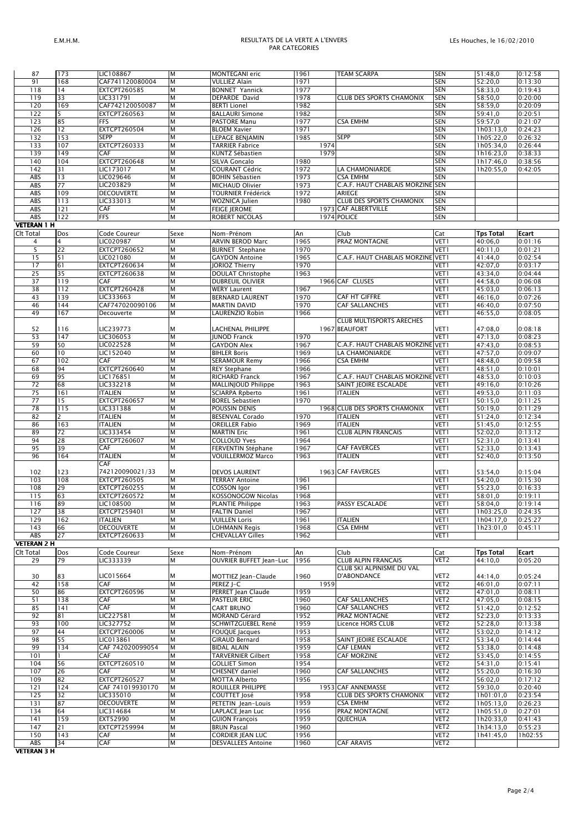## *E.M.H.M. RESULTATS DE LA VERTE A L'ENVERS PAR CATEGORIES*

|                    | 173            |                                   | M      |                                                |              |                                                    |                   |                        |                    |
|--------------------|----------------|-----------------------------------|--------|------------------------------------------------|--------------|----------------------------------------------------|-------------------|------------------------|--------------------|
| 87<br>91           | 168            | LIC108867<br>CAF741120080004      | M      | <b>MONTEGANI</b> eric<br><b>VULLIEZ Alain</b>  | 1961<br>1971 | <b>TEAM SCARPA</b>                                 | <b>SEN</b><br>SEN | 51:48,0<br>52:20,0     | 0:12:58<br>0:13:30 |
| 118                | 14             | EXTCPT260585                      | M      | <b>BONNET Yannick</b>                          | 1977         |                                                    | SEN               | 58:33,0                | 0:19:43            |
| 119                | 33             | LIC331791                         | M      | DEPARDE David                                  | 1978         | <b>CLUB DES SPORTS CHAMONIX</b>                    | <b>SEN</b>        | 58:50,0                | 0:20:00            |
| 120                | 169            | CAF742120050087                   | M      | <b>BERTI Lionel</b>                            | 1982         |                                                    | SEN               | 58:59,0                | 0:20:09            |
| 122                | 5              | EXTCPT260563                      | M      | <b>BALLAURI Simone</b>                         | 1982         |                                                    | <b>SEN</b>        | 59:41,0                | 0:20:51            |
| 123                | 85             | FFS                               | M      | PASTORE Manu                                   | 1977         | <b>CSA EMHM</b>                                    | SEN               | 59:57,0                | 0:21:07            |
| 126                | 12             | <b>EXTCPT260504</b>               | M      | <b>BLOEM Xavier</b>                            | 971          |                                                    | SEN               | 1h03:13,0              | 0:24:23            |
| 132                | 153            | SEPP                              | M      | LEPAGE BENJAMIN                                | 1985         | <b>SEPP</b>                                        | SEN               | 1h05:22,0              | 0:26:32            |
| 133                | 107            | EXTCPT260333                      | M      | TARRIER Fabrice                                | 1974         |                                                    | SEN               | 1h05:34,0              | 0:26:44            |
| 139                | 149            | CAF                               | M      | KUNTZ Sébastien                                | 1979         |                                                    | SEN               | 1h16:23,0              | 0:38:33            |
| 140                | 104            | EXTCPT260648                      | M      | SILVA Goncalo                                  | 1980         |                                                    | SEN               | 1h17:46,0              | 0:38:56            |
| 142                | 31             | LIC173017                         | M      | COURANT Cédric                                 | 1972         | LA CHAMONIARDE                                     | <b>SEN</b>        | 1h20:55,0              | 0:42:05            |
| ABS                | 13             | LIC029646                         | M      | <b>BOHIN Sébastien</b>                         | 1973         | <b>CSA EMHM</b>                                    | SEN               |                        |                    |
| ABS                | 77             | LIC203829                         | M      | MICHAUD Olivier                                | 1973         | C.A.F. HAUT CHABLAIS MORZINE                       | <b>SEN</b>        |                        |                    |
| ABS                | 109            | <b>DECOUVERTE</b>                 | M      | TOURNIER Frédérick                             | 1972         | ARIEGE                                             | SEN               |                        |                    |
| ABS                | 113            | LIC333013                         | M      | WOZNICA Julien                                 | 1980         | <b>CLUB DES SPORTS CHAMONIX</b>                    | <b>SEN</b>        |                        |                    |
| ABS                | 121            | CAF                               | M      | <b>FEIGE JEROME</b>                            |              | 1973 CAF ALBERTVILLE                               | SEN               |                        |                    |
| ABS                | 122            | <b>FFS</b>                        | M      | <b>ROBERT NICOLAS</b>                          |              | 1974 POLICE                                        | <b>SEN</b>        |                        |                    |
| <b>VETERAN 1 H</b> |                |                                   |        |                                                |              |                                                    |                   |                        |                    |
| Clt Total          | Dos            | Code Coureur                      | Sexe   | Nom-Prénom                                     | An           | Club                                               | Cat               | <b>Tps Total</b>       | Ecart              |
|                    | $\overline{4}$ | LIC020987                         | M      | <b>ARVIN BEROD Marc</b>                        | 1965         | PRAZ MONTAGNE                                      | VET1              | 40:06,0                | 0:01:16            |
| 4<br>5             | 22             | EXTCPT260652                      | M      |                                                | 1970         |                                                    | VET1              |                        | 0:01:21            |
|                    | 51             | LIC021080                         | M      | <b>BURNET</b> Stephane                         |              | C.A.F. HAUT CHABLAIS MORZINE VET1                  |                   | 40:11,0                |                    |
| 15<br>17           | 61             | EXTCPT260634                      | M      | <b>GAYDON Antoine</b>                          | 1965<br>1970 |                                                    | VET1              | 41:44,0                | 0:02:54            |
|                    |                | EXTCPT260638                      |        | <b>JORIOZ Thierry</b>                          |              |                                                    |                   | 42:07,0                | 0:03:17            |
| 25<br>37           | 35<br>119      | CAF                               | M<br>M | DOULAT Christophe                              | 1963         | 1966 CAF CLUSES                                    | VET1<br>VET1      | 43:34,0<br>44:58,0     | 0:04:44<br>0:06:08 |
| 38                 | 112            | EXTCPT260428                      | M      | <b>DUBREUIL OLIVIER</b><br><b>WERY Laurent</b> | 1967         |                                                    | VET1              | 45:03,0                | 0:06:13            |
| 43                 | 139            | LIC333663                         | M      | <b>BERNARD LAURENT</b>                         | 1970         | CAF HT GIFFRE                                      | VET1              | 46:16,0                | 0:07:26            |
| 46                 | 144            | CAF747020090106                   | M      | <b>MARTIN DAVID</b>                            | 1970         | <b>CAF SALLANCHES</b>                              | VET1              | 46:40,0                | 0:07:50            |
| 49                 | 167            | Decouverte                        | M      | LAURENZIO Robin                                | 1966         |                                                    | VET1              | 46:55,0                | 0:08:05            |
|                    |                |                                   |        |                                                |              | <b>CLUB MULTISPORTS ARECHES</b>                    |                   |                        |                    |
| 52                 | 116            | LIC239773                         | M      | LACHENAL PHILIPPE                              |              | 1967 BEAUFORT                                      | VET 1             | 47:08,0                | 0:08:18            |
| 53                 | 147            | LIC306053                         | M      | <b>JUNOD Franck</b>                            | 1970         |                                                    | VET1              | 47:13,0                | 0:08:23            |
| 59                 | 50             | LIC022528                         | M      | <b>GAYDON Alex</b>                             | 1967         | C.A.F. HAUT CHABLAIS MORZINE VET1                  |                   | 47:43,0                | 0:08:53            |
| 60                 | 10             | LIC152040                         | M      | <b>BIHLER Boris</b>                            | 1969         | LA CHAMONIARDE                                     | VET1              | 47:57,0                | 0:09:07            |
| 67                 | 102            | CAF                               | M      | <b>SERAMOUR Remy</b>                           | 1966         | <b>CSA EMHM</b>                                    | VET1              | 48:48,0                | 0:09:58            |
| 68                 | 94             | EXTCPT260640                      | M      | <b>REY Stephane</b>                            | 1966         |                                                    | VET1              | 48:51,0                | 0:10:01            |
| 69                 | 95             | LIC176851                         | M      | RICHARD Franck                                 | 1967         | C.A.F. HAUT CHABLAIS MORZINE VET1                  |                   | 48:53,0                | 0:10:03            |
| 72                 | 68             | LIC332218                         | M      | MALLINJOUD Philippe                            | 1963         | SAINT JEOIRE ESCALADE                              | VET1              | 49:16,0                | 0:10:26            |
| 75                 | 161            | <b>ITALIEN</b>                    | M      | <b>SCIARPA Rpberto</b>                         | 1961         | <b>ITALIEN</b>                                     | VET1              | 49:53,0                | 0:11:03            |
| 77                 | 15             | EXTCPT260657                      | M      | <b>BOREL Sebastien</b>                         | 1970         |                                                    | VET1              | 50:15,0                | 0:11:25            |
| 78                 | 115            | LIC331388                         | M      | POUSSIN DENIS                                  |              | 1968 CLUB DES SPORTS CHAMONIX                      | VET1              | 50:19,0                | 0:11:29            |
|                    |                |                                   |        |                                                |              |                                                    |                   |                        |                    |
|                    |                |                                   |        |                                                |              |                                                    |                   |                        |                    |
| 82                 | $\overline{2}$ | <b>ITALIEN</b>                    | M      | <b>BESENVAL Corado</b>                         | 1970         | <b>ITALIEN</b>                                     | VET1              | 51:24,0                | 0:12:34            |
| 86                 | 163            | <b>ITALIEN</b>                    | M      | <b>OREILLER Fabio</b>                          | 1969         | <b>ITALIEN</b>                                     | VET1              | 51:45,0                | 0:12:55            |
| 89                 | 72             | LIC333454                         | M      | <b>MARTIN Eric</b>                             | 1961         | <b>CLUB ALPIN FRANCAIS</b>                         | VET1              | 52:02,0                | 0:13:12            |
| 94                 | 28             | EXTCPT260607                      | M      | <b>COLLOUD Yves</b>                            | 1964         |                                                    | VET1              | 52:31,0                | 0:13:41            |
| 95                 | 39             | CAF                               | M      | FERVENTIN Stéphane                             | 1967         | <b>CAF FAVERGES</b>                                | VET1              | 52:33,0                | 0:13:43            |
| 96                 | 164            | <b>ITALIEN</b>                    | M      | VOUILLERMOZ Marco                              | 1963         | <b>ITALIEN</b>                                     | VET1              | 52:40,0                | 0:13:50            |
|                    |                | CAF                               |        |                                                |              |                                                    |                   |                        |                    |
| 102                | 123            | 742120090021/33                   | M      | <b>DEVOS LAURENT</b>                           |              | 1963 CAF FAVERGES                                  | VET1              | 53:54,0                | 0:15:04            |
| 103                | 108            | EXTCPT260505                      | M      | <b>TERRAY Antoine</b>                          | 1961         |                                                    | VET1              | 54:20,0                | 0:15:30            |
| 108                | 29             | EXTCPT260255                      | M      | <b>COSSON Igor</b>                             | 1961         |                                                    | VET1              | 55:23,0                | 0:16:33            |
| 115                | 63             | EXTCPT260572                      | M      | KOSSONOGOW Nicolas                             | 1968         |                                                    | VET1              | 58:01,0                | 0:19:11            |
| 116                | 89             | LIC108500                         | M      | <b>PLANTIE Philippe</b>                        | 1963         | PASSY ESCALADE                                     | VET1              | 58:04,0                | 0:19:14            |
| 127                | 38             | EXTCPT259401                      | M      | <b>FALTIN Daniel</b>                           | 1967         |                                                    | VET1              | 1h03:25,0              | 0:24:35            |
| 129                | 162            | <b>ITALIEN</b>                    | M      | <b>VUILLEN Loris</b>                           | 1961         | <b>ITALIEN</b>                                     | VET1              | 1h04:17,0              | 0:25:27            |
| 143                | 66             | <b>DECOUVERTE</b><br>EXTCPT260633 | M      | LOHMANN Regis                                  | 1968         | <b>CSA EMHM</b>                                    | VET1              | 1h23:01,0              | 0:45:11            |
| ABS                | 27             |                                   | M      | <b>CHEVALLAY Gilles</b>                        | 1962         |                                                    | VET1              |                        |                    |
| <b>VETERAN 2 H</b> |                |                                   |        |                                                |              |                                                    |                   |                        |                    |
| Clt Total          | Dos            | Code Coureur                      | Sexe   | Nom-Prénom                                     | An           | Club                                               | Cat               | <b>Tps Total</b>       | Ecart              |
| 29                 | 79             | LIC333339                         | M      | OUVRIER BUFFET Jean-Luc                        | 1956         | <b>CLUB ALPIN FRANCAIS</b>                         | VET2              | 44:10.0                | 0:05:20            |
|                    |                |                                   |        |                                                |              | CLUB SKI ALPINISME DU VAL<br><b>D'ABONDANCE</b>    |                   |                        |                    |
| 30                 | 83             | LIC015664                         | M      | MOTTIEZ Jean-Claude                            | 1960         |                                                    | VET2              | 44:14,0                | 0:05:24            |
| 42                 | 158            | CAF                               | M<br>M | PEREZ J-C<br>PERRET Jean Claude                | 1959         |                                                    | VET2<br>VET2      | 46:01,0                | 0:07:11            |
| 50                 | 86             | EXTCPT260596<br>CAF               | M      |                                                | 1959         | <b>CAF SALLANCHES</b>                              |                   | 47:01,0                | 0:08:11            |
| 51                 | 138            | CAF                               | M      | <b>PASTEUR ERIC</b>                            | 1960         | <b>CAF SALLANCHES</b>                              | VET2<br>VET2      | 47:05,0                | 0:08:15            |
| 85                 | 141            | LIC227581                         | M      | <b>CART BRUNO</b>                              | 1960         |                                                    | VET2              | 51:42,0                | 0:12:52            |
| 92                 | 81<br>100      |                                   | M      | <b>MORAND Gérard</b><br>SCHWITZGUEBEL René     | 1952         | PRAZ MONTAGNE                                      |                   | 52:23,0                | 0:13:33            |
| 93<br>97           | 44             | LIC327752                         | M      | <b>FOUQUE Jacques</b>                          | 1959         | Licence HORS CLUB                                  | VET2<br>VET2      | 52:28,0                | 0:13:38            |
| 98                 |                | EXTCPT260006<br>LIC013861         | M      |                                                | 1953<br>1958 |                                                    | VET2              | 53:02,0                | 0:14:12            |
|                    | 55<br>134      | CAF 742020099054                  | M      | GIRAUD Bernard                                 |              | SAINT JEOIRE ESCALADE<br><b>CAF LEMAN</b>          | VET2              | 53:34,0                | 0:14:44            |
| 99                 | 1              | CAF                               | M      | <b>BIDAL ALAIN</b>                             | 1959         | <b>CAF MORZINE</b>                                 |                   | 53:38,0                | 0:14:48            |
| 101                |                |                                   |        | TARVERNIER Gilbert                             | 1958         |                                                    | VET2              | 53:45,0                | 0:14:55            |
| 104                | 56             | EXTCPT260510                      | M      | <b>GOLLIET Simon</b>                           | 1954         |                                                    | VET2              | 54:31,0                | 0:15:41            |
| 107                | 26             | CAF                               | M      | CHESNEY daniel                                 | 1960         | <b>CAF SALLANCHES</b>                              | VET2              | 55:20,0                | 0:16:30            |
| 109                | 82             | EXTCPT260527                      | M<br>M | <b>MOTTA Alberto</b>                           | 1956         |                                                    | VET2              | 56:02,0                | 0:17:12            |
| 121                | 124            | CAF 741019930170                  |        | ROUILLER PHILIPPE                              |              | 1953 CAF ANNEMASSE                                 | VET2              | 59:30,0                | 0:20:40            |
| 125                | 32             | LIC335010                         | M<br>M | COUTTET José                                   | 1958         | <b>CLUB DES SPORTS CHAMONIX</b><br><b>CSA EMHM</b> | VET2              | 1h01:01,0              | 0:23:54            |
| 131                | 87             | <b>DECOUVERTE</b>                 |        | PETETIN Jean-Louis                             | 1959         |                                                    | VET2              | 1h05:13,0              | 0:26:23            |
| 134                | 64             | LIC314684                         | M      | LAPLACE Jean Luc                               | 1956         | PRAZ MONTAGNE                                      | VET2              | 1h05:51,0              | 0:27:01            |
| 141                | 159            | EXT52990                          | M      | <b>GUION François</b>                          | 1959         | QUECHUA                                            | VET2              | 1h20:33,0              | 0:41:43            |
| 147<br>150         | 21<br>143      | EXTCPT259994<br>CAF               | M<br>M | <b>BRUN Pascal</b><br>CORDIER JEAN LUC         | 1960<br>1956 |                                                    | VET2<br>VET2      | 1h34:13,0<br>1h41:45,0 | 0:55:23<br>1h02:55 |

*VETERAN 3 H*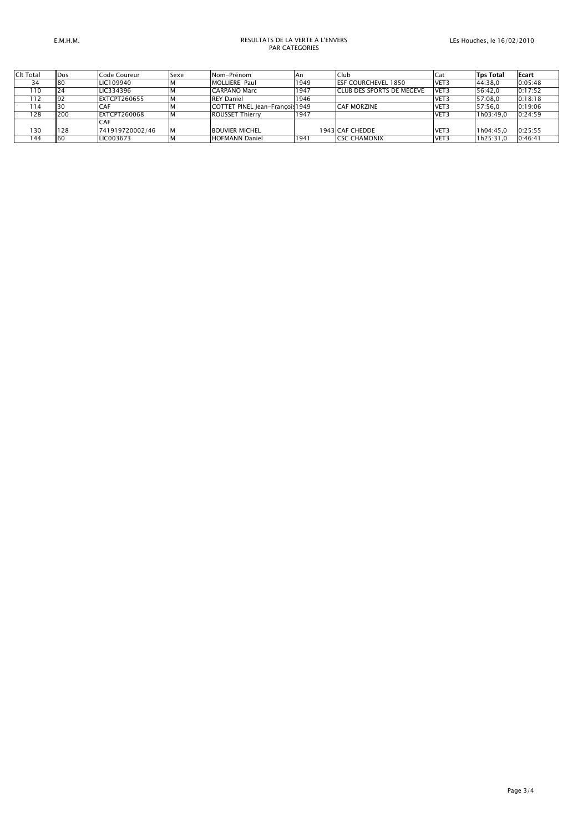## *E.M.H.M. RESULTATS DE LA VERTE A L'ENVERS PAR CATEGORIES*

| Clt Total | Dos | Code Coureur        | Sexe | Nom-Prénom                      | ΙAη  | Club                              | Cat  | <b>Tps Total</b> | Ecart   |
|-----------|-----|---------------------|------|---------------------------------|------|-----------------------------------|------|------------------|---------|
| 34        | 80  | LIC109940           |      | MOLLIERE Paul                   | 1949 | <b>IESF COURCHEVEL 1850</b>       | VET3 | 44:38.0          | 0:05:48 |
| 110       | 24  | LIC334396           |      | <b>CARPANO Marc</b>             | 1947 | <b>ICLUB DES SPORTS DE MEGEVE</b> | VET3 | 56:42.0          | 0:17:52 |
| 112       | 92  | <b>EXTCPT260655</b> |      | <b>REY Daniel</b>               | 1946 |                                   | VET3 | 57:08.0          | 0:18:18 |
| 114       | 30  | <b>CAF</b>          |      | COTTET PINEL Jean-Francois 1949 |      | <b>CAF MORZINE</b>                | VET3 | 57:56.0          | 0:19:06 |
| 128       | 200 | <b>EXTCPT260068</b> |      | <b>ROUSSET Thierry</b>          | 1947 |                                   | VET3 | 1h03:49.0        | 0:24:59 |
|           |     | <b>CAF</b>          |      |                                 |      |                                   |      |                  |         |
| 130       | 128 | 741919720002/46     |      | <b>BOUVIER MICHEL</b>           |      | 1943 CAF CHEDDE                   | VET3 | 1h04:45.0        | 0:25:55 |
| 144       | 60  | LIC003673           |      | <b>HOFMANN Daniel</b>           | 1941 | <b>ICSC CHAMONIX</b>              | VET3 | 1h25:31.0        | 0:46:41 |